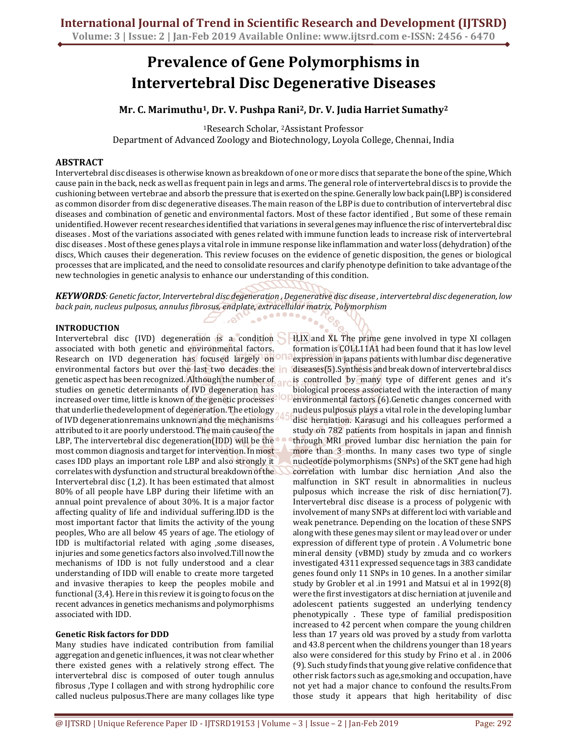# **Prevalence of Gene Polymorphisms in Intervertebral Disc Degenerative Diseases**

# **Mr. C. Marimuthu<sup>1</sup>, Dr. V. Pushpa Rani<sup>2</sup>, Dr. V. Judia Harriet Sumathy<sup>2</sup>**

<sup>1</sup>Research Scholar, 2Assistant Professor Department of Advanced Zoology and Biotechnology, Loyola College, Chennai, India

#### **ABSTRACT**

Intervertebral disc diseases is otherwise known as breakdown of one or more discs that separate the bone of the spine, Which cause pain in the back, neck as well as frequent pain in legs and arms. The general role of intervertebral discs is to provide the cushioning between vertebrae and absorb the pressure that is exerted on the spine. Generally low back pain(LBP) is considered as common disorder from disc degenerative diseases. The main reason of the LBP is due to contribution of intervertebral disc diseases and combination of genetic and environmental factors. Most of these factor identified , But some of these remain unidentified. However recent researches identified that variations in several genes may influence the risc of intervertebral disc diseases . Most of the variations associated with genes related with immune function leads to increase risk of intervertebral disc diseases . Most of these genes plays a vital role in immune response like inflammation and water loss (dehydration) of the discs, Which causes their degeneration. This review focuses on the evidence of genetic disposition, the genes or biological processes that are implicated, and the need to consolidate resources and clarify phenotype definition to take advantage of the new technologies in genetic analysis to enhance our understanding of this condition.

*KEYWORDS: Genetic factor, Intervertebral disc degeneration , Degenerative disc disease , intervertebral disc degeneration, low back pain, nucleus pulposus, annulus fibrosus, endplate, extracellular matrix, Polymorphism* 

. o<sup>s</sup>

### **INTRODUCTION**

Intervertebral disc (IVD) degeneration is a condition **HI,IX** and XI. The prime gene involved in type XI collagen associated with both genetic and environmental factors. Research on IVD degeneration has focused largely on environmental factors but over the last two decades the genetic aspect has been recognized. Although the number of studies on genetic determinants of IVD degeneration has increased over time, little is known of the genetic processes that underlie thedevelopment of degeneration. The etiology of IVD degenerationremains unknown and the mechanisms attributed to it are poorly understood. The main cause of the LBP, The intervertebral disc degeneration(IDD) will be the most common diagnosis and target for intervention. In most cases IDD plays an important role LBP and also strongly it correlates with dysfunction and structural breakdown of the Intervertebral disc (1,2). It has been estimated that almost 80% of all people have LBP during their lifetime with an annual point prevalence of about 30%. It is a major factor affecting quality of life and individual suffering.IDD is the most important factor that limits the activity of the young peoples, Who are all below 45 years of age. The etiology of IDD is multifactorial related with aging ,some diseases, injuries and some genetics factors also involved.Till now the mechanisms of IDD is not fully understood and a clear understanding of IDD will enable to create more targeted and invasive therapies to keep the peoples mobile and functional (3,4). Here in this review it is going to focus on the recent advances in genetics mechanisms and polymorphisms associated with IDD.

#### **Genetic Risk factors for DDD**

Many studies have indicated contribution from familial aggregation and genetic influences, it was not clear whether there existed genes with a relatively strong effect. The intervertebral disc is composed of outer tough annulus fibrosus ,Type I collagen and with strong hydrophilic core called nucleus pulposus.There are many collages like type

formation is COLL11A1 had been found that it has low level expression in japans patients with lumbar disc degenerative diseases(5).Synthesis and break down of intervertebral discs is controlled by many type of different genes and it's biological process associated with the interaction of many environmental factors (6).Genetic changes concerned with nucleus pulposus plays a vital role in the developing lumbar disc herniation. Karasugi and his colleagues performed a study on 782 patients from hospitals in japan and finnish through MRI proved lumbar disc herniation the pain for more than 3 months. In many cases two type of single nucleotide polymorphisms (SNPs) of the SKT gene had high correlation with lumbar disc herniation ,And also the malfunction in SKT result in abnormalities in nucleus pulposus which increase the risk of disc herniation(7). Intervertebral disc disease is a process of polygenic with involvement of many SNPs at different loci with variable and weak penetrance. Depending on the location of these SNPS along with these genes may silent or may lead over or under expression of different type of protein . A Volumetric bone mineral density (vBMD) study by zmuda and co workers investigated 4311 expressed sequence tags in 383 candidate genes found only 11 SNPs in 10 genes. In a another similar study by Grobler et al .in 1991 and Matsui et al in 1992(8) were the first investigators at disc herniation at juvenile and adolescent patients suggested an underlying tendency phenotypically . These type of familial predisposition increased to 42 percent when compare the young children less than 17 years old was proved by a study from varlotta and 43.8 percent when the childrens younger than 18 years also were considered for this study by Frino et al . in 2006 (9). Such study finds that young give relative confidence that other risk factors such as age,smoking and occupation, have not yet had a major chance to confound the results.From those study it appears that high heritability of disc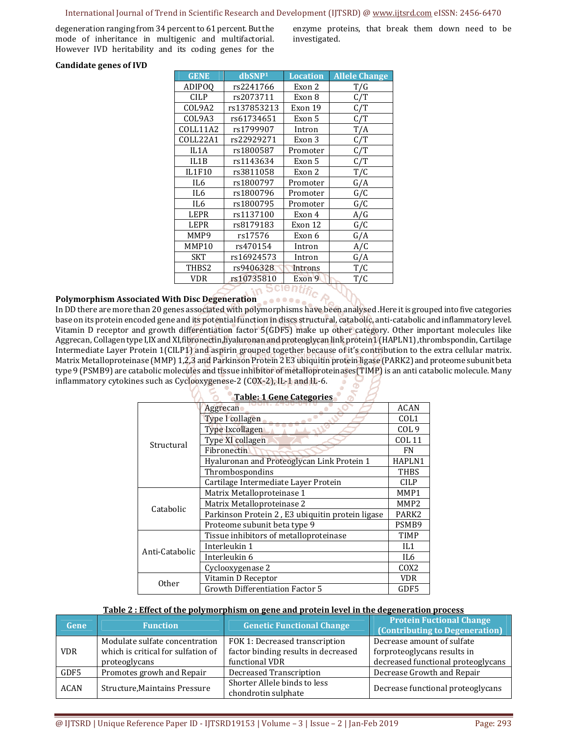#### International Journal of Trend in Scientific Research and Development (IJTSRD) @ www.ijtsrd.com eISSN: 2456-6470

degeneration ranging from 34 percent to 61 percent. But the mode of inheritance in multigenic and multifactorial. However IVD heritability and its coding genes for the enzyme proteins, that break them down need to be investigated.

#### **Candidate genes of IVD**

| <b>GENE</b>       | dbSNP <sup>1</sup> | <b>Location</b> | <b>Allele Change</b> |
|-------------------|--------------------|-----------------|----------------------|
| <b>ADIPOO</b>     | rs2241766          | Exon 2          | T/G                  |
| <b>CILP</b>       | rs2073711          | Exon 8          | C/T                  |
| COL9A2            | rs137853213        | Exon 19         | C/T                  |
| COL9A3            | rs61734651         | Exon 5          | C/T                  |
| COLL11A2          | rs1799907          | Intron          | T/A                  |
| COLL22A1          | rs22929271         | Exon 3          | C/T                  |
| IL1A              | rs1800587          | Promoter        | C/T                  |
| IL1B              | rs1143634          | Exon 5          | C/T                  |
| <b>IL1F10</b>     | rs3811058          | Exon 2          | T/C                  |
| IL6               | rs1800797          | Promoter        | G/A                  |
| IL <sub>6</sub>   | rs1800796          | Promoter        | G/C                  |
| IL6               | rs1800795          | Promoter        | G/C                  |
| <b>LEPR</b>       | rs1137100          | Exon 4          | A/G                  |
| <b>LEPR</b>       | rs8179183          | Exon 12         | G/C                  |
| MMP9              | rs17576            | Exon 6          | G/A                  |
| MMP10             | rs470154           | Intron          | A/C                  |
| <b>SKT</b>        | rs16924573         | Intron          | G/A                  |
| THB <sub>S2</sub> | rs9406328          | Introns         | T/C                  |
| <b>VDR</b>        | rs10735810         | Exon 9          | T/C                  |

# **Polymorphism Associated With Disc Degeneration**

In DD there are more than 20 genes associated with polymorphisms have been analysed .Here it is grouped into five categories base on its protein encoded gene and its potential function in discs structural, catabolic, anti-catabolic and inflammatory level. Vitamin D receptor and growth differentiation factor 5(GDF5) make up other category. Other important molecules like Aggrecan, Collagen type I,IX and XI,fibronectin,hyaluronan and proteoglycan link protein1 (HAPLN1) ,thrombspondin, Cartilage Intermediate Layer Protein 1(CILP1) and aspirin grouped together because of it's contribution to the extra cellular matrix. Matrix Metalloproteinase (MMP) 1,2,3 and Parkinson Protein 2 E3 ubiquitin protein ligase (PARK2) and proteome subunit beta type 9 (PSMB9) are catabolic molecules and tissue inhibitor of metalloproteinases(TIMP) is an anti catabolic molecule. Many inflammatory cytokines such as Cyclooxygenese-2 (COX-2), IL-1 and IL-6.  $\tilde{\sigma}$ 

| <b>Table: 1 Gene Categories</b> |                                                  |                   |  |  |  |
|---------------------------------|--------------------------------------------------|-------------------|--|--|--|
| Structural                      | Aggrecan                                         | <b>ACAN</b>       |  |  |  |
|                                 | Type I collagen                                  | COL <sub>1</sub>  |  |  |  |
|                                 | <b>Type Ixcollagen</b>                           | COL <sub>9</sub>  |  |  |  |
|                                 | Type XI collagen                                 | <b>COL 11</b>     |  |  |  |
|                                 | Fibronectin                                      | FN                |  |  |  |
|                                 | Hyaluronan and Proteoglycan Link Protein 1       | HAPLN1            |  |  |  |
|                                 | Thrombospondins                                  | <b>THBS</b>       |  |  |  |
|                                 | Cartilage Intermediate Layer Protein             | <b>CILP</b>       |  |  |  |
| Catabolic                       | Matrix Metalloproteinase 1                       | MMP1              |  |  |  |
|                                 | Matrix Metalloproteinase 2                       | MMP <sub>2</sub>  |  |  |  |
|                                 | Parkinson Protein 2, E3 ubiquitin protein ligase | PARK <sub>2</sub> |  |  |  |
|                                 | Proteome subunit beta type 9                     | PSMB9             |  |  |  |
| Anti-Catabolic                  | Tissue inhibitors of metalloproteinase           | <b>TIMP</b>       |  |  |  |
|                                 | Interleukin 1                                    | IL <sub>1</sub>   |  |  |  |
|                                 | Interleukin 6                                    | IL6               |  |  |  |
|                                 | Cyclooxygenase 2                                 | COX <sub>2</sub>  |  |  |  |
| <b>Other</b>                    | Vitamin D Receptor                               | VDR               |  |  |  |
|                                 | <b>Growth Differentiation Factor 5</b>           | GDF5              |  |  |  |

#### **Table 2 : Effect of the polymorphism on gene and protein level in the degeneration process**

| Gene        | <b>Function</b>                                                      | <b>Genetic Functional Change</b>                                      | <b>Protein Fuctional Change</b><br>(Contributing to Degeneration) |
|-------------|----------------------------------------------------------------------|-----------------------------------------------------------------------|-------------------------------------------------------------------|
| <b>VDR</b>  | Modulate sulfate concentration<br>which is critical for sulfation of | FOK 1: Decreased transcription<br>factor binding results in decreased | Decrease amount of sulfate<br>forproteoglycans results in         |
|             | proteoglycans                                                        | functional VDR                                                        | decreased functional proteoglycans                                |
| GDF5        | Promotes growh and Repair                                            | Decreased Transcription                                               | Decrease Growth and Repair                                        |
| <b>ACAN</b> | Structure, Maintains Pressure                                        | Shorter Allele binds to less<br>chondrotin sulphate                   | Decrease functional proteoglycans                                 |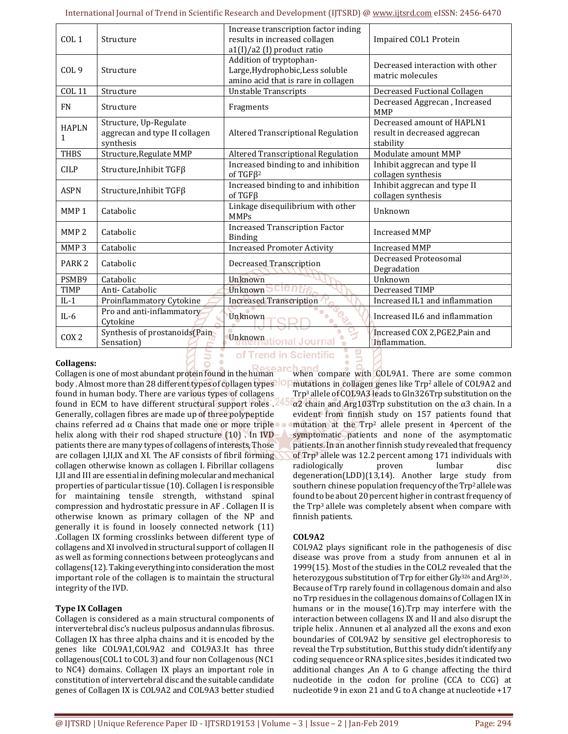| COL <sub>1</sub>              | Structure                                                            | Increase transcription factor inding<br>results in increased collagen<br>a1(I)/a2 (I) product ratio | Impaired COL1 Protein                                                   |
|-------------------------------|----------------------------------------------------------------------|-----------------------------------------------------------------------------------------------------|-------------------------------------------------------------------------|
| COL <sub>9</sub>              | Structure                                                            | Addition of tryptophan-<br>Large, Hydrophobic, Less soluble<br>amino acid that is rare in collagen  | Decreased interaction with other<br>matric molecules                    |
| <b>COL 11</b>                 | Structure                                                            | <b>Unstable Transcripts</b>                                                                         | Decreased Fuctional Collagen                                            |
| <b>FN</b>                     | Structure                                                            | Fragments                                                                                           | Decreased Aggrecan, Increased<br><b>MMP</b>                             |
| <b>HAPLN</b><br>$\mathbf{1}$  | Structure, Up-Regulate<br>aggrecan and type II collagen<br>synthesis | Altered Transcriptional Regulation                                                                  | Decreased amount of HAPLN1<br>result in decreased aggrecan<br>stability |
| <b>THBS</b>                   | Structure, Regulate MMP                                              | Altered Transcriptional Regulation                                                                  | Modulate amount MMP                                                     |
| <b>CILP</b>                   | Structure, Inhibit TGFβ                                              | Increased binding to and inhibition<br>of TGF $\beta$ <sup>2</sup>                                  | Inhibit aggrecan and type II<br>collagen synthesis                      |
| <b>ASPN</b>                   | Structure, Inhibit TGFβ                                              | Increased binding to and inhibition<br>of $TGF\beta$                                                | Inhibit aggrecan and type II<br>collagen synthesis                      |
| MMP <sub>1</sub>              | Catabolic                                                            | Linkage disequilibrium with other<br><b>MMPs</b>                                                    | Unknown                                                                 |
| MMP <sub>2</sub>              | Catabolic                                                            | <b>Increased Transcription Factor</b><br><b>Binding</b>                                             | <b>Increased MMP</b>                                                    |
| MMP <sub>3</sub>              | Catabolic                                                            | <b>Increased Promoter Activity</b>                                                                  | <b>Increased MMP</b>                                                    |
| PARK <sub>2</sub>             | Catabolic                                                            | Decreased Transcription                                                                             | Decreased Proteosomal<br>Degradation                                    |
| PSMB9                         | Catabolic                                                            | Unknown                                                                                             | Unknown                                                                 |
| <b>TIMP</b>                   | Anti-Catabolic                                                       | Unknown $\overline{C}$                                                                              | Decreased TIMP                                                          |
| $IL-1$                        | Proinflammatory Cytokine                                             | <b>Increased Transcription</b>                                                                      | Increased IL1 and inflammation                                          |
| $IL-6$                        | Pro and anti-inflammatory<br>Cytokine                                | Unknown                                                                                             | Increased IL6 and inflammation                                          |
| C <sub>O</sub> X <sub>2</sub> | Synthesis of prostanoids(Pain<br>Sensation)                          | <b>Unknownational Journal</b>                                                                       | Increased COX 2, PGE2, Pain and<br>Inflammation.                        |

#### **Collagens:**

of Trend in Scientific

Collagen is one of most abundant protein found in the human found in human body. There are various types of collagens found in ECM to have different structural support roles . Generally, collagen fibres are made up of three polypeptide chains referred ad α Chains that made one or more triple. helix along with their rod shaped structure (10) . In IVD patients there are many types of collagens of interests, Those are collagen I,II,IX and XI. The AF consists of fibril forming collagen otherwise known as collagen I. Fibrillar collagens I,II and III are essential in defining molecular and mechanical properties of particular tissue (10). Collagen I is responsible for maintaining tensile strength, withstand spinal compression and hydrostatic pressure in AF . Collagen II is otherwise known as primary collagen of the NP and generally it is found in loosely connected network (11) .Collagen IX forming crosslinks between different type of collagens and XI involved in structural support of collagen II as well as forming connections between proteoglycans and collagens(12). Taking everything into consideration the most important role of the collagen is to maintain the structural integrity of the IVD.

#### **Type IX Collagen**

Collagen is considered as a main structural components of intervertebral disc's nucleus pulposus andannulas fibrosus. Collagen IX has three alpha chains and it is encoded by the genes like COL9A1,COL9A2 and COL9A3.It has three collagenous(COL1 to COL 3) and four non Collagenous (NC1 to NC4) domains. Collagen IX plays an important role in constitution of intervertebral disc and the suitable candidate genes of Collagen IX is COL9A2 and COL9A3 better studied

body . Almost more than 28 different types of collagen types IOP mutations in collagen genes like Trp<sup>2</sup> allele of COL9A2 and when compare with COL9A1. There are some common Trp3 allele of COL9A3 leads to Gln326Trp substitution on the α2 chain and Arg103Trp substitution on the α3 chain. In a evident from finnish study on 157 patients found that mutation at the Trp2 allele present in 4percent of the symptomatic patients and none of the asymptomatic patients. In an another finnish study revealed that frequency of Trp3 allele was 12.2 percent among 171 individuals with radiologically proven lumbar disc degeneration(LDD)(13,14). Another large study from southern chinese population frequency of the Trp<sup>2</sup> allele was found to be about 20 percent higher in contrast frequency of the Trp3 allele was completely absent when compare with finnish patients.

#### **COL9A2**

COL9A2 plays significant role in the pathogenesis of disc disease was prove from a study from annunen et al in 1999(15). Most of the studies in the COL2 revealed that the heterozygous substitution of Trp for either Gly<sup>326</sup> and Arg<sup>326</sup>. Because of Trp rarely found in collagenous domain and also no Trp residues in the collagenous domains of Collagen IX in humans or in the mouse(16).Trp may interfere with the interaction between collagens IX and II and also disrupt the triple helix . Annunen et al analyzed all the exons and exon boundaries of COL9A2 by sensitive gel electrophoresis to reveal the Trp substitution, But this study didn't identify any coding sequence or RNA splice sites ,besides it indicated two additional changes ,An A to G change affecting the third nucleotide in the codon for proline (CCA to CCG) at nucleotide 9 in exon 21 and G to A change at nucleotide +17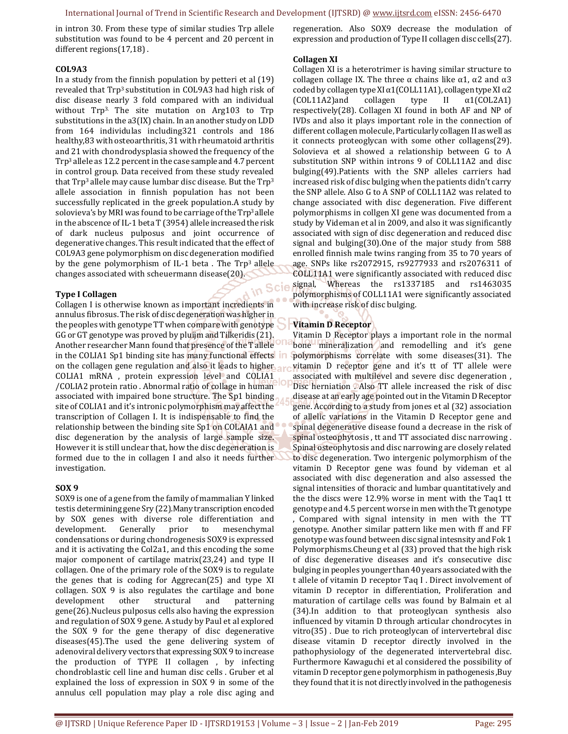in Scie

in intron 30. From these type of similar studies Trp allele substitution was found to be 4 percent and 20 percent in different regions(17,18) .

#### **COL9A3**

In a study from the finnish population by petteri et al (19) revealed that Trp3 substitution in COL9A3 had high risk of disc disease nearly 3 fold compared with an individual without Trp<sup>3.</sup> The site mutation on Arg103 to Trp substitutions in the a3(IX) chain. In an another study on LDD from 164 individulas including321 controls and 186 healthy,83 with osteoarthritis, 31 with rheumatoid arthritis and 21 with chondrodysplasia showed the frequency of the Trp3 allele as 12.2 percent in the case sample and 4.7 percent in control group. Data received from these study revealed that  $Trp<sup>3</sup>$  allele may cause lumbar disc disease. But the  $Trp<sup>3</sup>$ allele association in finnish population has not been successfully replicated in the greek population.A study by solovieva's by MRI was found to be carriage of the Trp<sup>3</sup> allele in the abscence of IL-1 beta T (3954) allele increased the risk of dark nucleus pulposus and joint occurrence of degenerative changes. This result indicated that the effect of COL9A3 gene polymorphism on disc degeneration modified by the gene polymorphism of IL-1 beta. The  $Trp<sup>3</sup>$  allele changes associated with scheuermann disease(20).

#### **Type I Collagen**

Collagen I is otherwise known as important incredients in annulus fibrosus. The risk of disc degeneration was higher in the peoples with genotype TT when compare with genotype GG or GT genotype was proved by pluijm and Tilkeridis (21). Another researcher Mann found that presence of the T allele in the COLIA1 Sp1 binding site has many functional effects in on the collagen gene regulation and also it leads to higher COLIA1 mRNA , protein expression level and COLIA1 /COLIA2 protein ratio . Abnormal ratio of collage in human associated with impaired bone structure. The Sp1 binding site of COLIA1 and it's intronic polymorphism may affect the transcription of Collagen I. It is indispensable to find the relationship between the binding site Sp1 on COLAIA1 and disc degeneration by the analysis of large sample size. However it is still unclear that, how the disc degeneration is formed due to the in collagen I and also it needs further investigation.

#### **SOX 9**

SOX9 is one of a gene from the family of mammalian Y linked testis determining gene Sry (22).Many transcription encoded by SOX genes with diverse role differentiation and development. Generally prior to mesenchymal condensations or during chondrogenesis SOX9 is expressed and it is activating the Col2a1, and this encoding the some major component of cartilage matrix(23,24) and type II collagen. One of the primary role of the SOX9 is to regulate the genes that is coding for Aggrecan(25) and type XI collagen. SOX 9 is also regulates the cartilage and bone development other structural and patterning gene(26).Nucleus pulposus cells also having the expression and regulation of SOX 9 gene. A study by Paul et al explored the SOX 9 for the gene therapy of disc degenerative diseases(45).The used the gene delivering system of adenoviral delivery vectors that expressing SOX 9 to increase the production of TYPE II collagen , by infecting chondroblastic cell line and human disc cells . Gruber et al explained the loss of expression in SOX 9 in some of the annulus cell population may play a role disc aging and

regeneration. Also SOX9 decrease the modulation of expression and production of Type II collagen disc cells(27).

#### **Collagen XI**

Collagen XI is a heterotrimer is having similar structure to collagen collage IX. The three  $\alpha$  chains like  $\alpha$ 1,  $\alpha$ 2 and  $\alpha$ 3 coded by collagen type XI  $\alpha$ 1(COLL11A1), collagen type XI  $\alpha$ 2 (COL11A2)and collagen type II α1(COL2A1) respectively(28). Collagen XI found in both AF and NP of IVDs and also it plays important role in the connection of different collagen molecule, Particularly collagen II as well as it connects proteoglycan with some other collagens(29). Solovieva et al showed a relationship between G to A substitution SNP within introns 9 of COLL11A2 and disc bulging(49).Patients with the SNP alleles carriers had increased risk of disc bulging when the patients didn't carry the SNP allele. Also G to A SNP of COLL11A2 was related to change associated with disc degeneration. Five different polymorphisms in collgen XI gene was documented from a study by Videman et al in 2009, and also it was significantly associated with sign of disc degeneration and reduced disc signal and bulging(30).One of the major study from 588 enrolled finnish male twins ranging from 35 to 70 years of age. SNPs like rs2072915, rs9277933 and rs2076311 of COLL11A1 were significantly associated with reduced disc signal, Whereas the rs1337185 and rs1463035 polymorphisms of COLL11A1 were significantly associated with increase risk of disc bulging.

## **Vitamin D Receptor**

Vitamin D Receptor plays a important role in the normal bone mineralization and remodelling and it's gene polymorphisms correlate with some diseases(31). The vitamin D receptor gene and it's tt of TT allele were associated with multilevel and severe disc degeneration , Disc herniation . Also TT allele increased the risk of disc disease at an early age pointed out in the Vitamin D Receptor gene. According to a study from jones et al (32) association of allelic variations in the Vitamin D Receptor gene and spinal degenerative disease found a decrease in the risk of spinal osteophytosis , tt and TT associated disc narrowing . Spinal osteophytosis and disc narrowing are closely related to disc degeneration. Two intergenic polymorphism of the vitamin D Receptor gene was found by videman et al associated with disc degeneration and also assessed the signal intensities of thoracic and lumbar quantitatively and the the discs were 12.9% worse in ment with the Taq1 tt genotype and 4.5 percent worse in men with the Tt genotype , Compared with signal intensity in men with the TT genotype. Another similar pattern like men with ff and FF genotype was found between disc signal intesnsity and Fok 1 Polymorphisms.Cheung et al (33) proved that the high risk of disc degenerative diseases and it's consecutive disc bulging in peoples younger than 40 years associated with the t allele of vitamin D receptor Taq I . Direct involvement of vitamin D receptor in differentiation, Proliferation and maturation of cartilage cells was found by Balmain et al (34).In addition to that proteoglycan synthesis also influenced by vitamin D through articular chondrocytes in vitro(35) . Due to rich proteoglycan of intervertebral disc disease vitamin D receptor directly involved in the pathophysiology of the degenerated intervertebral disc. Furthermore Kawaguchi et al considered the possibility of vitamin D receptor gene polymorphism in pathogenesis ,Buy they found that it is not directly involved in the pathogenesis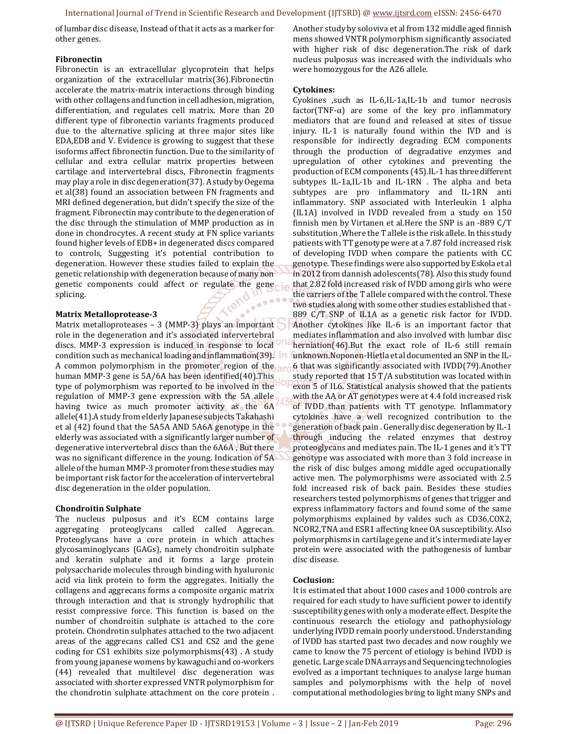International Journal of Trend in Scientific Research and Development (IJTSRD) @ www.ijtsrd.com eISSN: 2456-6470

of lumbar disc disease, Instead of that it acts as a marker for other genes.

#### **Fibronectin**

Fibronectin is an extracellular glycoprotein that helps organization of the extracellular matrix(36).Fibronectin accelerate the matrix-matrix interactions through binding with other collagens and function in cell adhesion, migration, differentiation, and regulates cell matrix. More than 20 different type of fibronectin variants fragments produced due to the alternative splicing at three major sites like EDA,EDB and V. Evidence is growing to suggest that these isoforms affect fibronectin function. Due to the similarity of cellular and extra cellular matrix properties between cartilage and intervertebral discs, Fibronectin fragments may play a role in disc degeneration(37). A study by Oegema et al(38) found an association between FN fragments and MRI defined degeneration, but didn't specify the size of the fragment. Fibronectin may contribute to the degeneration of the disc through the stimulation of MMP production as in done in chondrocytes. A recent study at FN splice variants found higher levels of EDB+ in degenerated discs compared to controls, Suggesting it's potential contribution to degeneration. However these studies failed to explain the genetic relationship with degeneration because of many non genetic components could affect or regulate the gene splicing.  $\frac{d}{dt}$ 

#### **Matrix Metalloprotease-3**

Matrix metalloproteases - 3 (MMP-3) plays an important role in the degeneration and it's associated intervertebral discs. MMP-3 expression is induced in response to local condition such as mechanical loading and inflammation(39). A common polymorphism in the promoter region of the human MMP-3 gene is 5A/6A has been identified(40).This type of polymorphism was reported to be involved in the regulation of MMP-3 gene expression with the 5A allele having twice as much promoter activity as the 6A allele(41).A study from elderly Japanese subjects Takahashi et al (42) found that the 5A5A AND 5A6A genotype in the elderly was associated with a significantly larger number of degenerative intervertebral discs than the 6A6A , But there was no significant difference in the young. Indication of 5A allele of the human MMP-3 promoter from these studies may be important risk factor for the acceleration of intervertebral disc degeneration in the older population.

#### **Chondroitin Sulphate**

The nucleus pulposus and it's ECM contains large aggregating proteoglycans called called Aggrecan. Proteoglycans have a core protein in which attaches glycosaminoglycans (GAGs), namely chondroitin sulphate and keratin sulphate and it forms a large protein polysaccharide molecules through binding with hyaluronic acid via link protein to form the aggregates. Initially the collagens and aggrecans forms a composite organic matrix through interaction and that is strongly hydrophilic that resist compressive force. This function is based on the number of chondroitin sulphate is attached to the core protein. Chondrotin sulphates attached to the two adjacent areas of the aggrecans called CS1 and CS2 and the gene coding for CS1 exhibits size polymorphisms(43) . A study from young japanese womens by kawaguchi and co-workers (44) revealed that multilevel disc degeneration was associated with shorter expressed VNTR polymorphism for the chondrotin sulphate attachment on the core protein .

Another study by soloviva et al from 132 middle aged finnish mens showed VNTR polymorphism significantly associated with higher risk of disc degeneration.The risk of dark nucleus pulposus was increased with the individuals who were homozygous for the A26 allele.

#### **Cytokines:**

Cyokines ,such as IL-6,IL-1a,IL-1b and tumor necrosis factor(TNF- $\alpha$ ) are some of the key pro inflammatory mediators that are found and released at sites of tissue injury. IL-1 is naturally found within the IVD and is responsible for indirectly degrading ECM components through the production of degradative enzymes and upregulation of other cytokines and preventing the production of ECM components (45).IL-1 has three different subtypes IL-1a,IL-1b and IL-1RN . The alpha and beta subtypes are pro inflammatory and IL-1RN anti inflammatory. SNP associated with Interleukin 1 alpha (IL1A) involved in IVDD revealed from a study on 150 finnish men by Virtanen et al.Here the SNP is an -889 C/T substitution ,Where the T allele is the risk allele. In this study patients with TT genotype were at a 7.87 fold increased risk of developing IVDD when compare the patients with CC genotype. These findings were also supported by Eskola et al in 2012 from dannish adolescents(78). Also this study found that 2.82 fold increased risk of IVDD among girls who were the carriers of the T allele compared with the control. These two studies along with some other studies established that - 889 C/T SNP of IL1A as a genetic risk factor for IVDD. Another cytokines like IL-6 is an important factor that mediates inflammation and also involved with lumbar disc herniation(46).But the exact role of IL-6 still remain unknown.Noponen-Hietla et al documented an SNP in the IL-6 that was significantly associated with IVDD(79).Another study reported that  $15$  T/A substitution was located within exon 5 of IL6. Statistical analysis showed that the patients with the AA or AT genotypes were at 4.4 fold increased risk of IVDD than patients with TT genotype. Inflammatory cytokines have a well recognized contribution to the generation of back pain . Generally disc degeneration by IL-1 through inducing the related enzymes that destroy proteoglycans and mediates pain. The IL-1 genes and it's TT genotype was associated with more than 3 fold increase in the risk of disc bulges among middle aged occupationally active men. The polymorphisms were associated with 2.5 fold increased risk of back pain. Besides these studies researchers tested polymorphisms of genes that trigger and express inflammatory factors and found some of the same polymorphisms explained by valdes such as CD36,COX2, NCOR2,TNA and ESR1 affecting knee OA susceptibility. Also polymorphisms in cartilage gene and it's intermediate layer protein were associated with the pathogenesis of lumbar disc disease.

#### **Coclusion:**

It is estimated that about 1000 cases and 1000 controls are required for each study to have sufficient power to identify susceptibility genes with only a moderate effect. Despite the continuous research the etiology and pathophysiology underlying IVDD remain poorly understood. Understanding of IVDD has started past two decades and now roughly we came to know the 75 percent of etiology is behind IVDD is genetic. Large scale DNA arrays and Sequencing technologies evolved as a important techniques to analyse large human samples and polymorphisms with the help of novel computational methodologies bring to light many SNPs and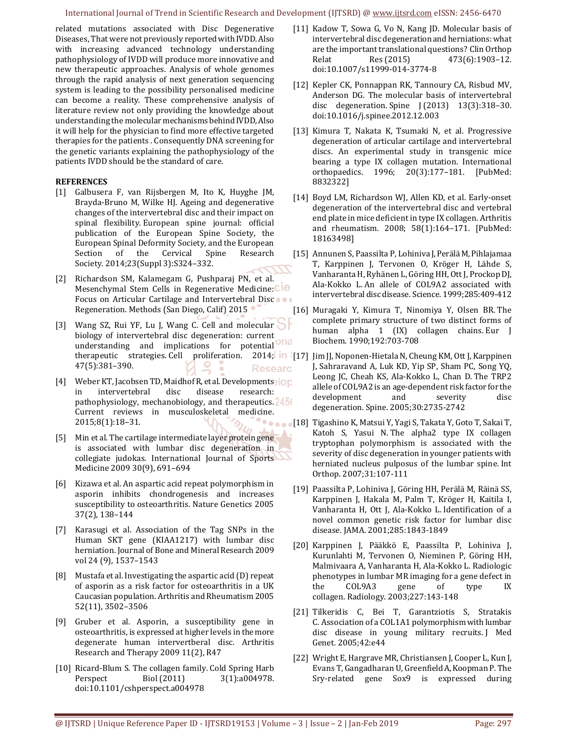related mutations associated with Disc Degenerative Diseases, That were not previously reported with IVDD. Also with increasing advanced technology understanding pathophysiology of IVDD will produce more innovative and new therapeutic approaches. Analysis of whole genomes through the rapid analysis of next generation sequencing system is leading to the possibility personalised medicine can become a reality. These comprehensive analysis of literature review not only providing the knowledge about understanding the molecular mechanisms behind IVDD, Also it will help for the physician to find more effective targeted therapies for the patients . Consequently DNA screening for the genetic variants explaining the pathophysiology of the patients IVDD should be the standard of care.

#### **REFERENCES**

- [1] Galbusera F, van Rijsbergen M, Ito K, Huyghe JM, Brayda-Bruno M, Wilke HJ. Ageing and degenerative changes of the intervertebral disc and their impact on spinal flexibility. European spine journal: official publication of the European Spine Society, the European Spinal Deformity Society, and the European Section of the Cervical Spine Research Society. 2014;23(Suppl 3):S324–332.
- [2] Richardson SM, Kalamegam G, Pushparaj PN, et al. Mesenchymal Stem Cells in Regenerative Medicine: CIO Focus on Articular Cartilage and Intervertebral Discoon Regeneration. Methods (San Diego, Calif) 2015
- [3] Wang SZ, Rui YF, Lu J, Wang C. Cell and molecular biology of intervertebral disc degeneration: current understanding and implications for potential<sup>Ona</sup> 47(5):381–390. **Researc**
- [4] Weber KT, Jacobsen TD, Maidhof R, et al. Developments in intervertebral disc disease research: pathophysiology, mechanobiology, and therapeutics. 245 Current reviews in musculoskeletal medicine. 2015;8(1):18–31.
- [5] Min et al. The cartilage intermediate layer protein gene is associated with lumbar disc degeneration in collegiate judokas. International Journal of Sports Medicine 2009 30(9), 691–694
- [6] Kizawa et al. An aspartic acid repeat polymorphism in asporin inhibits chondrogenesis and increases susceptibility to osteoarthritis. Nature Genetics 2005 37(2), 138–144
- [7] Karasugi et al. Association of the Tag SNPs in the Human SKT gene (KIAA1217) with lumbar disc herniation. Journal of Bone and Mineral Research 2009 vol 24 (9), 1537–1543
- [8] Mustafa et al. Investigating the aspartic acid (D) repeat of asporin as a risk factor for osteoarthritis in a UK Caucasian population. Arthritis and Rheumatism 2005 52(11), 3502–3506
- [9] Gruber et al. Asporin, a susceptibility gene in osteoarthritis, is expressed at higher levels in the more degenerate human intervertberal disc. Arthritis Research and Therapy 2009 11(2), R47
- [10] Ricard-Blum S. The collagen family. Cold Spring Harb Perspect Biol (2011) 3(1):a004978. doi:10.1101/cshperspect.a004978
- [11] Kadow T, Sowa G, Vo N, Kang JD. Molecular basis of intervertebral disc degeneration and herniations: what are the important translational questions? Clin Orthop Relat Res (2015) 473(6):1903–12. doi:10.1007/s11999-014-3774-8
- [12] Kepler CK, Ponnappan RK, Tannoury CA, Risbud MV, Anderson DG. The molecular basis of intervertebral disc degeneration. Spine J (2013) 13(3):318–30. doi:10.1016/j.spinee.2012.12.003
- [13] Kimura T, Nakata K, Tsumaki N, et al. Progressive degeneration of articular cartilage and intervertebral discs. An experimental study in transgenic mice bearing a type IX collagen mutation. International orthopaedics. 1996; 20(3):177–181. [PubMed: 8832322]
- [14] Boyd LM, Richardson WJ, Allen KD, et al. Early-onset degeneration of the intervertebral disc and vertebral end plate in mice deficient in type IX collagen. Arthritis and rheumatism. 2008; 58(1):164–171. [PubMed: 18163498]
- [15] Annunen S, Paassilta P, Lohiniva J, Perälä M, Pihlajamaa T, Karppinen J, Tervonen O, Kröger H, Lähde S, Vanharanta H, Ryhänen L, Göring HH, Ott J, Prockop DJ, Ala-Kokko L. An allele of COL9A2 associated with intervertebral disc disease. Science. 1999;285:409-412
- [16] Muragaki Y, Kimura T, Ninomiya Y, Olsen BR. The complete primary structure of two distinct forms of human alpha 1 (IX) collagen chains. Eur J Biochem. 1990;192:703-708
- therapeutic strategies. Cell proliferation. 2014; [17] Jim JJ, Noponen-Hietala N, Cheung KM, Ott J, Karppinen J, Sahraravand A, Luk KD, Yip SP, Sham PC, Song YQ, Leong JC, Cheah KS, Ala-Kokko L, Chan D. The TRP2 allele of COL9A2 is an age-dependent risk factor for the development and severity disc degeneration. Spine. 2005;30:2735-2742
	- **Desaio** [18] Tigashino K, Matsui Y, Yagi S, Takata Y, Goto T, Sakai T, Katoh S, Yasui N. The alpha2 type IX collagen tryptophan polymorphism is associated with the severity of disc degeneration in younger patients with herniated nucleus pulposus of the lumbar spine. Int Orthop. 2007;31:107-111
		- [19] Paassilta P, Lohiniva J, Göring HH, Perälä M, Räinä SS, Karppinen J, Hakala M, Palm T, Kröger H, Kaitila I, Vanharanta H, Ott J, Ala-Kokko L. Identification of a novel common genetic risk factor for lumbar disc disease. JAMA. 2001;285:1843-1849
		- [20] Karppinen J, Pääkkö E, Paassilta P, Lohiniva J, Kurunlahti M, Tervonen O, Nieminen P, Göring HH, Malmivaara A, Vanharanta H, Ala-Kokko L. Radiologic phenotypes in lumbar MR imaging for a gene defect in the COL9A3 gene of type IX collagen. Radiology. 2003;227:143-148
		- [21] Tilkeridis C, Bei T, Garantziotis S, Stratakis C. Association of a COL1A1 polymorphism with lumbar disc disease in young military recruits. J Med Genet. 2005;42:e44
		- [22] Wright E, Hargrave MR, Christiansen J, Cooper L, Kun J, Evans T, Gangadharan U, Greenfield A, Koopman P. The Sry-related gene Sox9 is expressed during